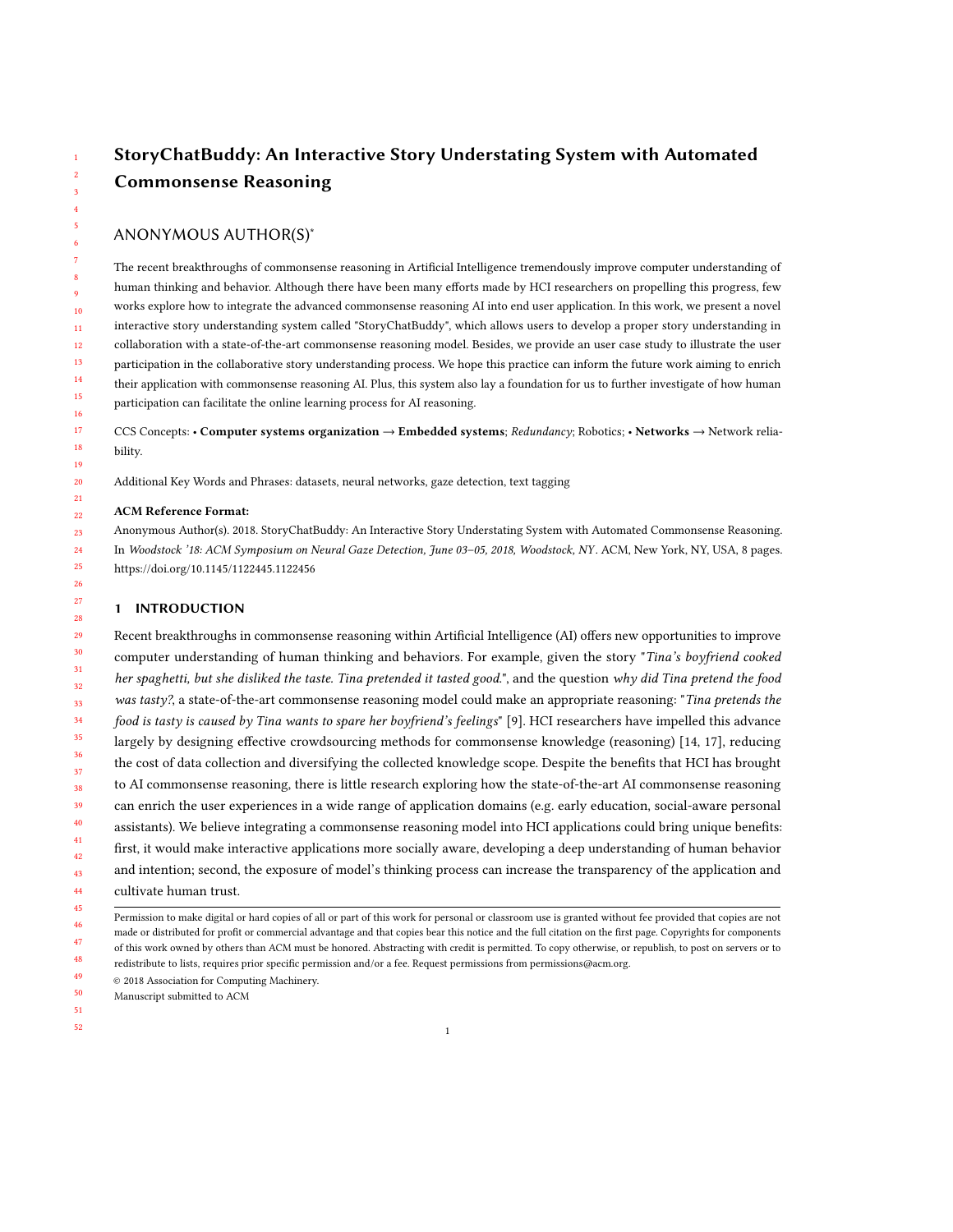# StoryChatBuddy: An Interactive Story Understating System with Automated Commonsense Reasoning

# ANONYMOUS AUTHOR(S)<sup>∗</sup>

The recent breakthroughs of commonsense reasoning in Artificial Intelligence tremendously improve computer understanding of human thinking and behavior. Although there have been many efforts made by HCI researchers on propelling this progress, few works explore how to integrate the advanced commonsense reasoning AI into end user application. In this work, we present a novel interactive story understanding system called "StoryChatBuddy", which allows users to develop a proper story understanding in collaboration with a state-of-the-art commonsense reasoning model. Besides, we provide an user case study to illustrate the user participation in the collaborative story understanding process. We hope this practice can inform the future work aiming to enrich their application with commonsense reasoning AI. Plus, this system also lay a foundation for us to further investigate of how human participation can facilitate the online learning process for AI reasoning.

CCS Concepts: • Computer systems organization → Embedded systems; Redundancy; Robotics; • Networks → Network reliability.

Additional Key Words and Phrases: datasets, neural networks, gaze detection, text tagging

### ACM Reference Format:

Anonymous Author(s). 2018. StoryChatBuddy: An Interactive Story Understating System with Automated Commonsense Reasoning. In Woodstock '18: ACM Symposium on Neural Gaze Detection, June 03–05, 2018, Woodstock, NY. ACM, New York, NY, USA, [8](#page-7-0) pages. <https://doi.org/10.1145/1122445.1122456>

# 1 INTRODUCTION

29 30 31 32 33 34 35 36 37 38 39 40 41 42 43 44 Recent breakthroughs in commonsense reasoning within Artificial Intelligence (AI) offers new opportunities to improve computer understanding of human thinking and behaviors. For example, given the story "Tina's boyfriend cooked her spaghetti, but she disliked the taste. Tina pretended it tasted good.", and the question why did Tina pretend the food was tasty?, a state-of-the-art commonsense reasoning model could make an appropriate reasoning: "Tina pretends the food is tasty is caused by Tina wants to spare her boyfriend's feelings" [\[9\]](#page-7-1). HCI researchers have impelled this advance largely by designing effective crowdsourcing methods for commonsense knowledge (reasoning) [\[14,](#page-7-2) [17\]](#page-7-3), reducing the cost of data collection and diversifying the collected knowledge scope. Despite the benefits that HCI has brought to AI commonsense reasoning, there is little research exploring how the state-of-the-art AI commonsense reasoning can enrich the user experiences in a wide range of application domains (e.g. early education, social-aware personal assistants). We believe integrating a commonsense reasoning model into HCI applications could bring unique benefits: first, it would make interactive applications more socially aware, developing a deep understanding of human behavior and intention; second, the exposure of model's thinking process can increase the transparency of the application and cultivate human trust.

- 46 47 48 Permission to make digital or hard copies of all or part of this work for personal or classroom use is granted without fee provided that copies are not made or distributed for profit or commercial advantage and that copies bear this notice and the full citation on the first page. Copyrights for components of this work owned by others than ACM must be honored. Abstracting with credit is permitted. To copy otherwise, or republish, to post on servers or to redistribute to lists, requires prior specific permission and/or a fee. Request permissions from permissions@acm.org.
- 49 © 2018 Association for Computing Machinery.
- 50 Manuscript submitted to ACM

51

52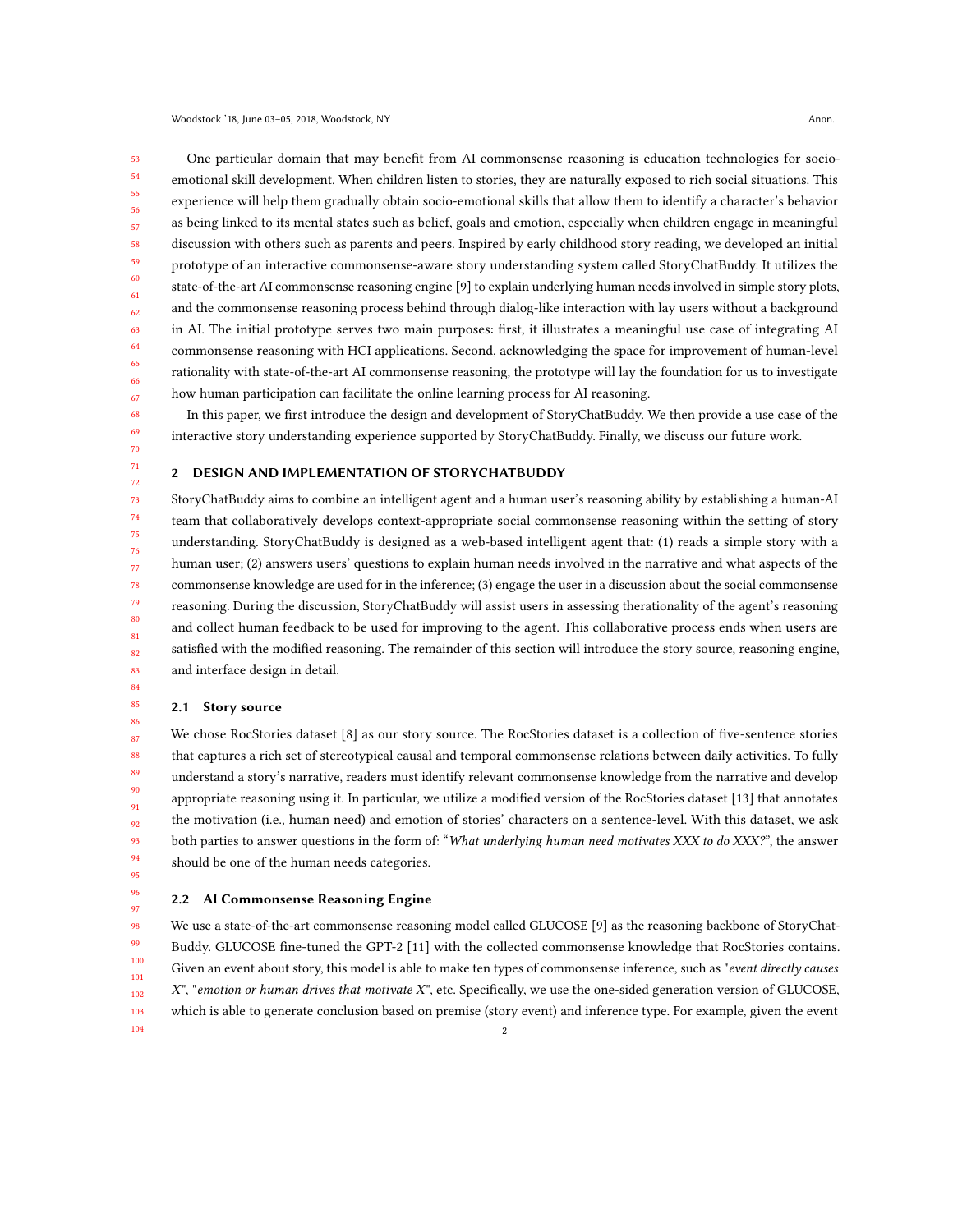53 54 55 56 57 58 59 60 61 62 63 64 65 66 67 One particular domain that may benefit from AI commonsense reasoning is education technologies for socioemotional skill development. When children listen to stories, they are naturally exposed to rich social situations. This experience will help them gradually obtain socio-emotional skills that allow them to identify a character's behavior as being linked to its mental states such as belief, goals and emotion, especially when children engage in meaningful discussion with others such as parents and peers. Inspired by early childhood story reading, we developed an initial prototype of an interactive commonsense-aware story understanding system called StoryChatBuddy. It utilizes the state-of-the-art AI commonsense reasoning engine [\[9\]](#page-7-1) to explain underlying human needs involved in simple story plots, and the commonsense reasoning process behind through dialog-like interaction with lay users without a background in AI. The initial prototype serves two main purposes: first, it illustrates a meaningful use case of integrating AI commonsense reasoning with HCI applications. Second, acknowledging the space for improvement of human-level rationality with state-of-the-art AI commonsense reasoning, the prototype will lay the foundation for us to investigate how human participation can facilitate the online learning process for AI reasoning.

In this paper, we first introduce the design and development of StoryChatBuddy. We then provide a use case of the interactive story understanding experience supported by StoryChatBuddy. Finally, we discuss our future work.

## 2 DESIGN AND IMPLEMENTATION OF STORYCHATBUDDY

StoryChatBuddy aims to combine an intelligent agent and a human user's reasoning ability by establishing a human-AI team that collaboratively develops context-appropriate social commonsense reasoning within the setting of story understanding. StoryChatBuddy is designed as a web-based intelligent agent that: (1) reads a simple story with a human user; (2) answers users' questions to explain human needs involved in the narrative and what aspects of the commonsense knowledge are used for in the inference; (3) engage the user in a discussion about the social commonsense reasoning. During the discussion, StoryChatBuddy will assist users in assessing therationality of the agent's reasoning and collect human feedback to be used for improving to the agent. This collaborative process ends when users are satisfied with the modified reasoning. The remainder of this section will introduce the story source, reasoning engine, and interface design in detail.

#### 2.1 Story source

87 88 89 90 91 92 93 94 We chose RocStories dataset [\[8\]](#page-7-4) as our story source. The RocStories dataset is a collection of five-sentence stories that captures a rich set of stereotypical causal and temporal commonsense relations between daily activities. To fully understand a story's narrative, readers must identify relevant commonsense knowledge from the narrative and develop appropriate reasoning using it. In particular, we utilize a modified version of the RocStories dataset [\[13\]](#page-7-5) that annotates the motivation (i.e., human need) and emotion of stories' characters on a sentence-level. With this dataset, we ask both parties to answer questions in the form of: "What underlying human need motivates XXX to do XXX?", the answer should be one of the human needs categories.

95 96 97

# 2.2 AI Commonsense Reasoning Engine

98 99 100 101 102 103 104 We use a state-of-the-art commonsense reasoning model called GLUCOSE [\[9\]](#page-7-1) as the reasoning backbone of StoryChat-Buddy. GLUCOSE fine-tuned the GPT-2 [\[11\]](#page-7-6) with the collected commonsense knowledge that RocStories contains. Given an event about story, this model is able to make ten types of commonsense inference, such as "event directly causes  $X$ ", "emotion or human drives that motivate  $X$ ", etc. Specifically, we use the one-sided generation version of GLUCOSE, which is able to generate conclusion based on premise (story event) and inference type. For example, given the event 2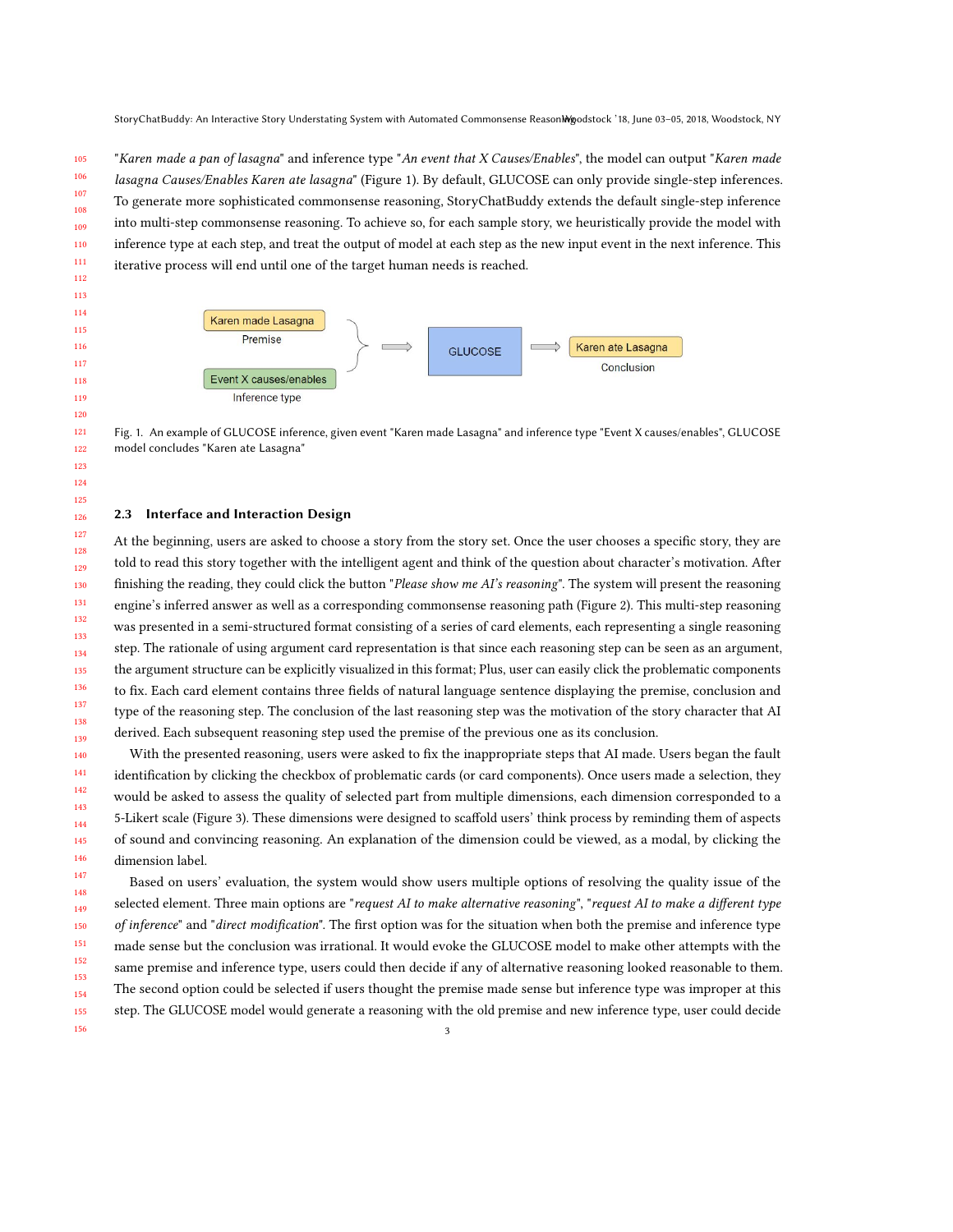"Karen made a pan of lasagna" and inference type "An event that X Causes/Enables", the model can output "Karen made lasagna Causes/Enables Karen ate lasagna" (Figure [1\)](#page-2-0). By default, GLUCOSE can only provide single-step inferences. To generate more sophisticated commonsense reasoning, StoryChatBuddy extends the default single-step inference into multi-step commonsense reasoning. To achieve so, for each sample story, we heuristically provide the model with inference type at each step, and treat the output of model at each step as the new input event in the next inference. This iterative process will end until one of the target human needs is reached.

<span id="page-2-0"></span>

Fig. 1. An example of GLUCOSE inference, given event "Karen made Lasagna" and inference type "Event X causes/enables", GLUCOSE model concludes "Karen ate Lasagna"

#### 2.3 Interface and Interaction Design

At the beginning, users are asked to choose a story from the story set. Once the user chooses a specific story, they are told to read this story together with the intelligent agent and think of the question about character's motivation. After finishing the reading, they could click the button "Please show me AI's reasoning". The system will present the reasoning engine's inferred answer as well as a corresponding commonsense reasoning path (Figure [2\)](#page-3-0). This multi-step reasoning was presented in a semi-structured format consisting of a series of card elements, each representing a single reasoning step. The rationale of using argument card representation is that since each reasoning step can be seen as an argument, the argument structure can be explicitly visualized in this format; Plus, user can easily click the problematic components to fix. Each card element contains three fields of natural language sentence displaying the premise, conclusion and type of the reasoning step. The conclusion of the last reasoning step was the motivation of the story character that AI derived. Each subsequent reasoning step used the premise of the previous one as its conclusion.

With the presented reasoning, users were asked to fix the inappropriate steps that AI made. Users began the fault identification by clicking the checkbox of problematic cards (or card components). Once users made a selection, they would be asked to assess the quality of selected part from multiple dimensions, each dimension corresponded to a 5-Likert scale (Figure [3\)](#page-4-0). These dimensions were designed to scaffold users' think process by reminding them of aspects of sound and convincing reasoning. An explanation of the dimension could be viewed, as a modal, by clicking the dimension label.

 Based on users' evaluation, the system would show users multiple options of resolving the quality issue of the selected element. Three main options are "request AI to make alternative reasoning", "request AI to make a different type of inference" and "direct modification". The first option was for the situation when both the premise and inference type made sense but the conclusion was irrational. It would evoke the GLUCOSE model to make other attempts with the same premise and inference type, users could then decide if any of alternative reasoning looked reasonable to them. The second option could be selected if users thought the premise made sense but inference type was improper at this step. The GLUCOSE model would generate a reasoning with the old premise and new inference type, user could decide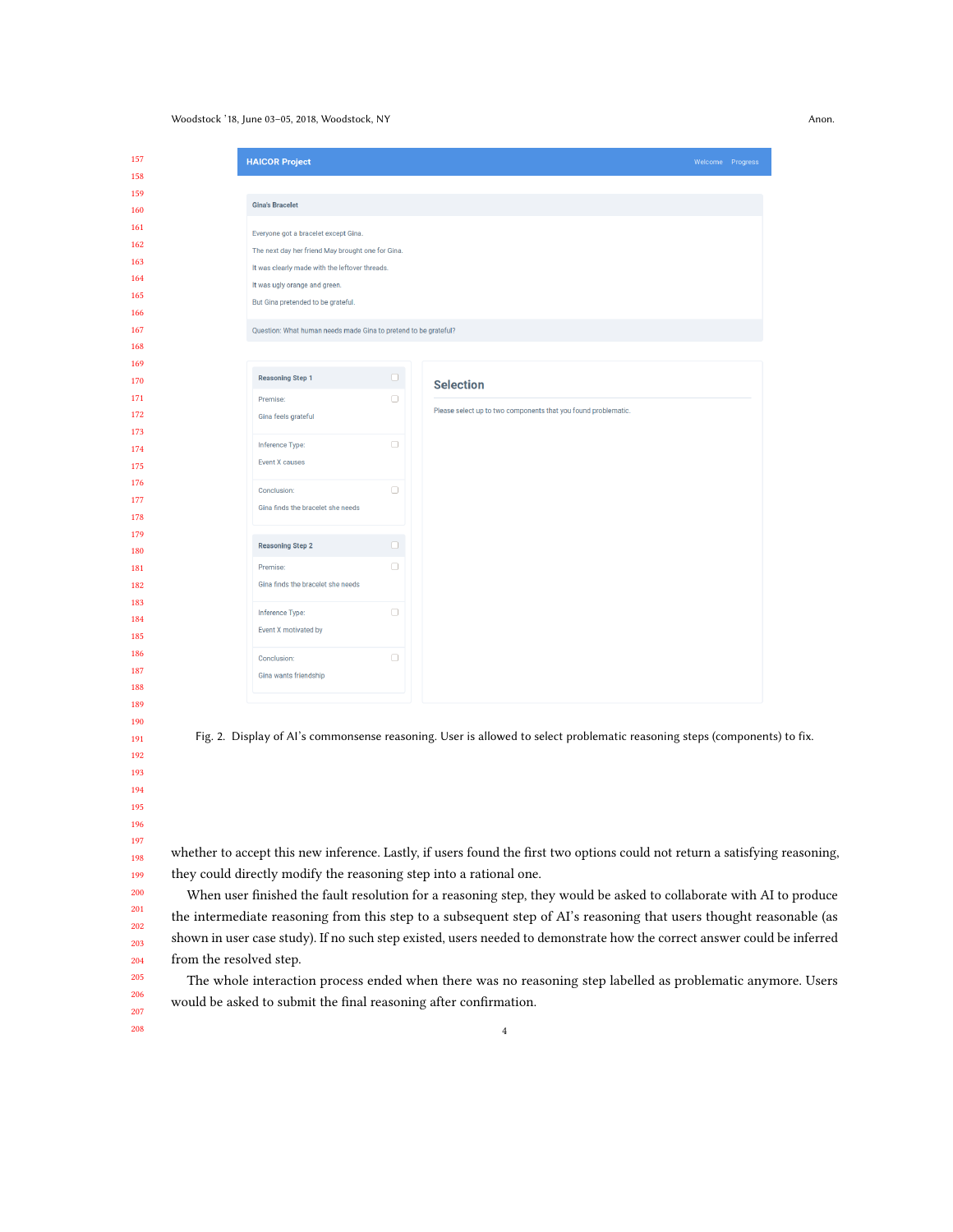## <span id="page-3-0"></span>Woodstock '18, June 03–05, 2018, Woodstock, NY Anon.

|          |                                                                 |        |                                                                | Welcome Progress |
|----------|-----------------------------------------------------------------|--------|----------------------------------------------------------------|------------------|
|          |                                                                 |        |                                                                |                  |
|          | <b>Gina's Bracelet</b>                                          |        |                                                                |                  |
|          |                                                                 |        |                                                                |                  |
|          | Everyone got a bracelet except Gina.                            |        |                                                                |                  |
|          | The next day her friend May brought one for Gina.               |        |                                                                |                  |
|          | It was clearly made with the leftover threads.                  |        |                                                                |                  |
|          | It was ugly orange and green.                                   |        |                                                                |                  |
|          | But Gina pretended to be grateful.                              |        |                                                                |                  |
|          |                                                                 |        |                                                                |                  |
|          | Question: What human needs made Gina to pretend to be grateful? |        |                                                                |                  |
|          |                                                                 |        |                                                                |                  |
|          | <b>Reasoning Step 1</b>                                         | $\Box$ |                                                                |                  |
|          |                                                                 | $\Box$ | <b>Selection</b>                                               |                  |
| Premise: |                                                                 |        | Please select up to two components that you found problematic. |                  |
|          | Gina feels grateful                                             |        |                                                                |                  |
|          | Inference Type:                                                 | $\Box$ |                                                                |                  |
|          | <b>Event X causes</b>                                           |        |                                                                |                  |
|          |                                                                 |        |                                                                |                  |
|          | Conclusion:                                                     | $\Box$ |                                                                |                  |
|          | Gina finds the bracelet she needs                               |        |                                                                |                  |
|          |                                                                 |        |                                                                |                  |
|          | <b>Reasoning Step 2</b>                                         | $\Box$ |                                                                |                  |
| Premise: |                                                                 | $\Box$ |                                                                |                  |
|          | Gina finds the bracelet she needs                               |        |                                                                |                  |
|          |                                                                 |        |                                                                |                  |
|          | Inference Type:                                                 | $\Box$ |                                                                |                  |
|          | Event X motivated by                                            |        |                                                                |                  |
|          | Conclusion:                                                     | $\Box$ |                                                                |                  |
|          | Gina wants friendship                                           |        |                                                                |                  |
|          |                                                                 |        |                                                                |                  |

 When user finished the fault resolution for a reasoning step, they would be asked to collaborate with AI to produce the intermediate reasoning from this step to a subsequent step of AI's reasoning that users thought reasonable (as shown in user case study). If no such step existed, users needed to demonstrate how the correct answer could be inferred from the resolved step.

The whole interaction process ended when there was no reasoning step labelled as problematic anymore. Users would be asked to submit the final reasoning after confirmation.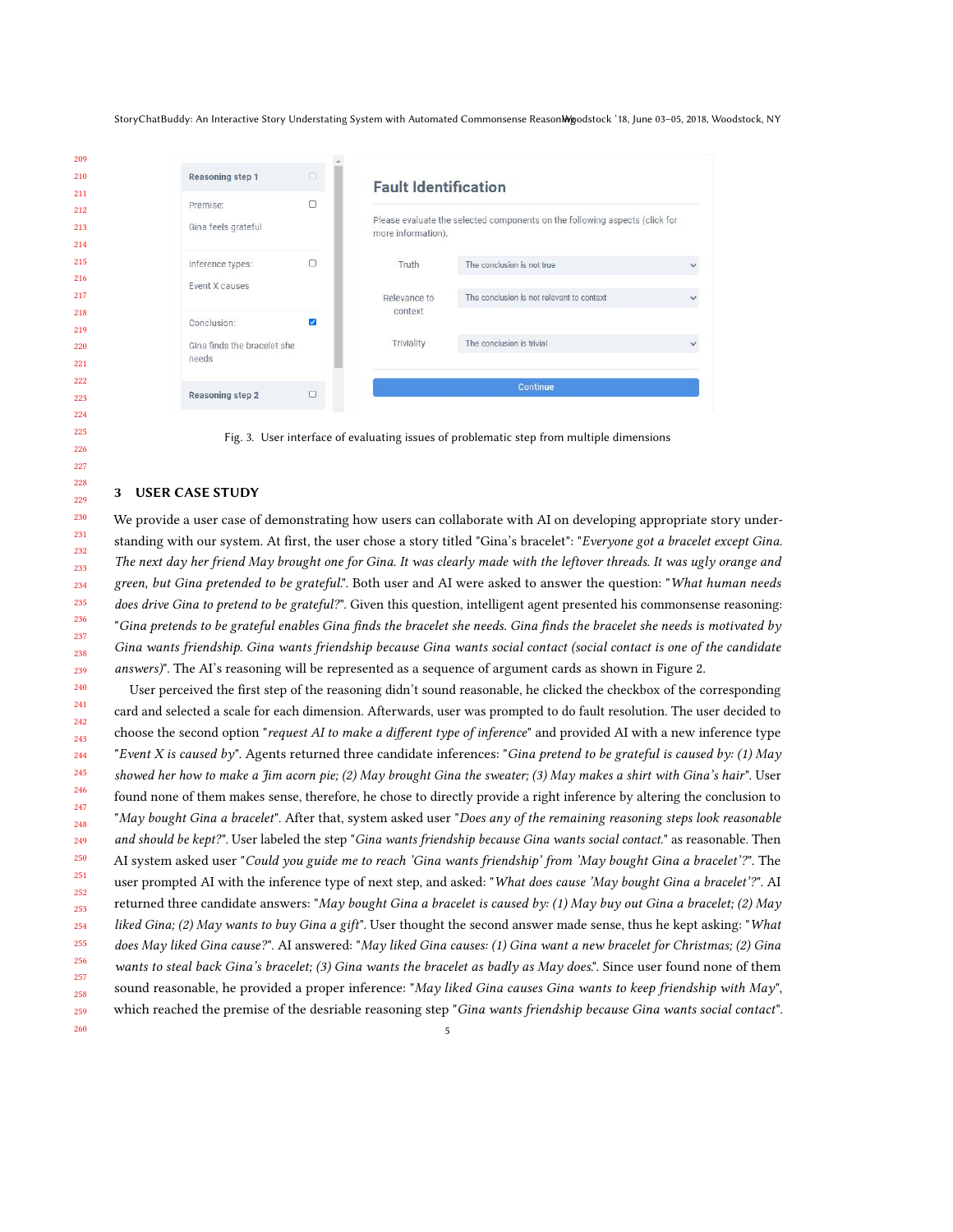<span id="page-4-0"></span>StoryChatBuddy: An Interactive Story Understating System with Automated Commonsense ReasonMgodstock '18, June 03-05, 2018, Woodstock, NY

| 209 |                             |                       |                                                                                                   |                                           |  |  |
|-----|-----------------------------|-----------------------|---------------------------------------------------------------------------------------------------|-------------------------------------------|--|--|
| 210 | Reasoning step 1            | $\Box$                | <b>Fault Identification</b>                                                                       |                                           |  |  |
| 211 |                             |                       |                                                                                                   |                                           |  |  |
| 212 | Premise:                    | $\Box$                |                                                                                                   |                                           |  |  |
| 213 | Gina feels grateful         |                       | Please evaluate the selected components on the following aspects (click for<br>more information). |                                           |  |  |
| 214 |                             |                       |                                                                                                   |                                           |  |  |
| 215 | Inference types:            | $\Box$                | Truth                                                                                             | The conclusion is not true                |  |  |
| 216 | Event X causes              |                       |                                                                                                   |                                           |  |  |
| 217 |                             |                       | Relevance to                                                                                      | The conclusion is not relevant to context |  |  |
| 218 |                             |                       | context                                                                                           |                                           |  |  |
| 219 | Conclusion:                 | $\blacktriangleright$ |                                                                                                   |                                           |  |  |
| 220 | Gina finds the bracelet she |                       | Triviality                                                                                        | The conclusion is trivial                 |  |  |
| 221 | needs                       |                       |                                                                                                   |                                           |  |  |
| 222 |                             |                       |                                                                                                   | Continue                                  |  |  |
| 223 | Reasoning step 2            | $\Box$                |                                                                                                   |                                           |  |  |
| 224 |                             |                       |                                                                                                   |                                           |  |  |

Fig. 3. User interface of evaluating issues of problematic step from multiple dimensions

#### 3 USER CASE STUDY

We provide a user case of demonstrating how users can collaborate with AI on developing appropriate story understanding with our system. At first, the user chose a story titled "Gina's bracelet": "Everyone got a bracelet except Gina. The next day her friend May brought one for Gina. It was clearly made with the leftover threads. It was ugly orange and green, but Gina pretended to be grateful.". Both user and AI were asked to answer the question: "What human needs does drive Gina to pretend to be grateful?". Given this question, intelligent agent presented his commonsense reasoning: "Gina pretends to be grateful enables Gina finds the bracelet she needs. Gina finds the bracelet she needs is motivated by Gina wants friendship. Gina wants friendship because Gina wants social contact (social contact is one of the candidate answers)". The AI's reasoning will be represented as a sequence of argument cards as shown in Figure [2.](#page-3-0)

 User perceived the first step of the reasoning didn't sound reasonable, he clicked the checkbox of the corresponding card and selected a scale for each dimension. Afterwards, user was prompted to do fault resolution. The user decided to choose the second option "request AI to make a different type of inference" and provided AI with a new inference type "Event X is caused by". Agents returned three candidate inferences: "Gina pretend to be grateful is caused by: (1) May showed her how to make a Jim acorn pie; (2) May brought Gina the sweater; (3) May makes a shirt with Gina's hair". User found none of them makes sense, therefore, he chose to directly provide a right inference by altering the conclusion to "May bought Gina a bracelet". After that, system asked user "Does any of the remaining reasoning steps look reasonable and should be kept?". User labeled the step "Gina wants friendship because Gina wants social contact." as reasonable. Then AI system asked user "Could you guide me to reach 'Gina wants friendship' from 'May bought Gina a bracelet'?". The user prompted AI with the inference type of next step, and asked: "What does cause 'May bought Gina a bracelet'?". AI returned three candidate answers: "May bought Gina a bracelet is caused by: (1) May buy out Gina a bracelet; (2) May liked Gina; (2) May wants to buy Gina a gift". User thought the second answer made sense, thus he kept asking: "What does May liked Gina cause?". AI answered: "May liked Gina causes: (1) Gina want a new bracelet for Christmas; (2) Gina wants to steal back Gina's bracelet; (3) Gina wants the bracelet as badly as May does.". Since user found none of them sound reasonable, he provided a proper inference: "May liked Gina causes Gina wants to keep friendship with May", which reached the premise of the desriable reasoning step "Gina wants friendship because Gina wants social contact".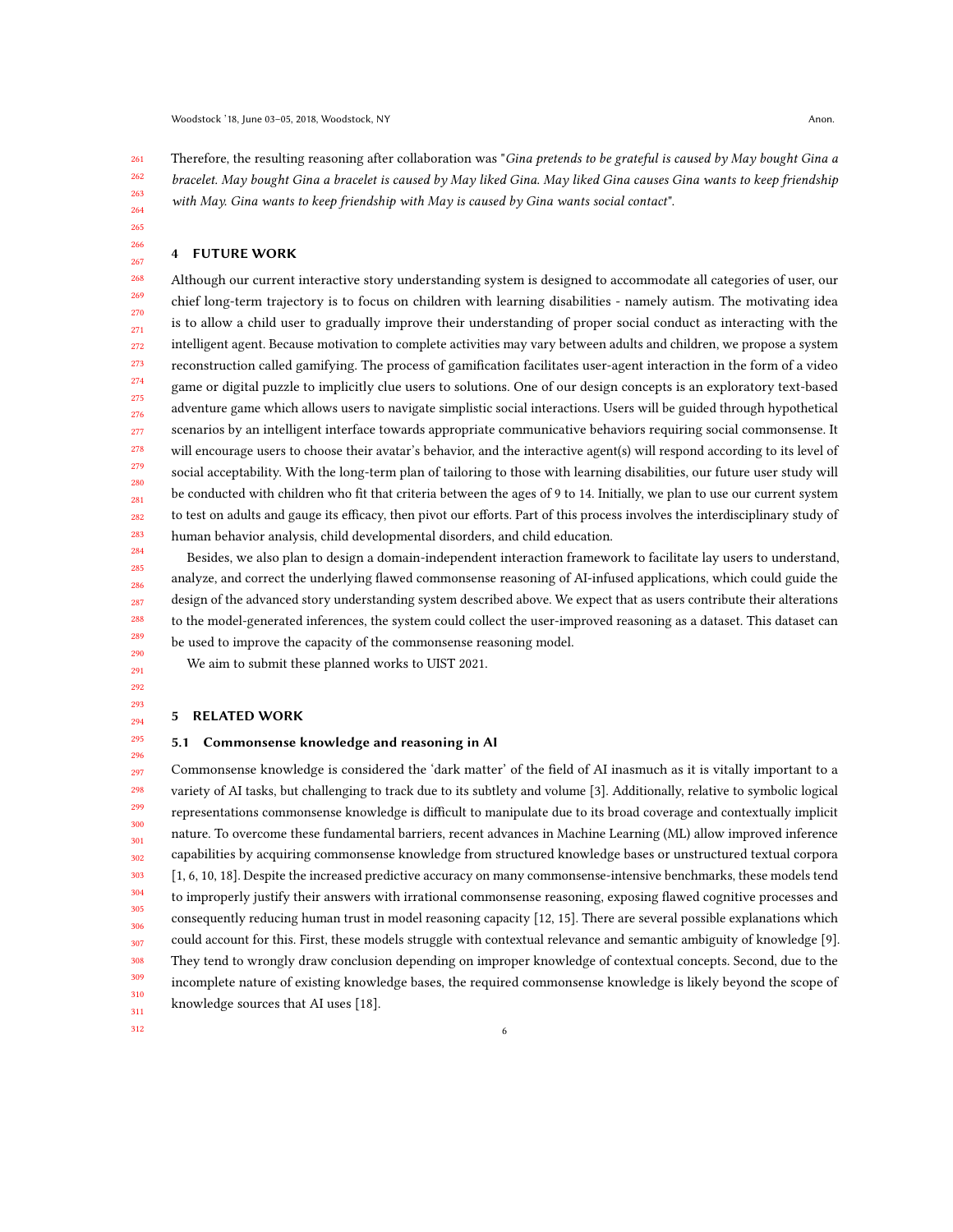261 262 263 264 Therefore, the resulting reasoning after collaboration was "Gina pretends to be grateful is caused by May bought Gina a bracelet. May bought Gina a bracelet is caused by May liked Gina. May liked Gina causes Gina wants to keep friendship with May. Gina wants to keep friendship with May is caused by Gina wants social contact".

# 4 FUTURE WORK

265 266 267

268 269 270 271 272 273 274 275 276 277 278 279 280 281 282 283 Although our current interactive story understanding system is designed to accommodate all categories of user, our chief long-term trajectory is to focus on children with learning disabilities - namely autism. The motivating idea is to allow a child user to gradually improve their understanding of proper social conduct as interacting with the intelligent agent. Because motivation to complete activities may vary between adults and children, we propose a system reconstruction called gamifying. The process of gamification facilitates user-agent interaction in the form of a video game or digital puzzle to implicitly clue users to solutions. One of our design concepts is an exploratory text-based adventure game which allows users to navigate simplistic social interactions. Users will be guided through hypothetical scenarios by an intelligent interface towards appropriate communicative behaviors requiring social commonsense. It will encourage users to choose their avatar's behavior, and the interactive agent(s) will respond according to its level of social acceptability. With the long-term plan of tailoring to those with learning disabilities, our future user study will be conducted with children who fit that criteria between the ages of 9 to 14. Initially, we plan to use our current system to test on adults and gauge its efficacy, then pivot our efforts. Part of this process involves the interdisciplinary study of human behavior analysis, child developmental disorders, and child education.

Besides, we also plan to design a domain-independent interaction framework to facilitate lay users to understand, analyze, and correct the underlying flawed commonsense reasoning of AI-infused applications, which could guide the design of the advanced story understanding system described above. We expect that as users contribute their alterations to the model-generated inferences, the system could collect the user-improved reasoning as a dataset. This dataset can be used to improve the capacity of the commonsense reasoning model.

We aim to submit these planned works to UIST 2021.

# 5 RELATED WORK

### 5.1 Commonsense knowledge and reasoning in AI

297 298 299 300 301 302 303 304 305 306 307 308 309 310 311 Commonsense knowledge is considered the 'dark matter' of the field of AI inasmuch as it is vitally important to a variety of AI tasks, but challenging to track due to its subtlety and volume [\[3\]](#page-7-7). Additionally, relative to symbolic logical representations commonsense knowledge is difficult to manipulate due to its broad coverage and contextually implicit nature. To overcome these fundamental barriers, recent advances in Machine Learning (ML) allow improved inference capabilities by acquiring commonsense knowledge from structured knowledge bases or unstructured textual corpora [\[1,](#page-7-8) [6,](#page-7-9) [10,](#page-7-10) [18\]](#page-7-11). Despite the increased predictive accuracy on many commonsense-intensive benchmarks, these models tend to improperly justify their answers with irrational commonsense reasoning, exposing flawed cognitive processes and consequently reducing human trust in model reasoning capacity [\[12,](#page-7-12) [15\]](#page-7-13). There are several possible explanations which could account for this. First, these models struggle with contextual relevance and semantic ambiguity of knowledge [\[9\]](#page-7-1). They tend to wrongly draw conclusion depending on improper knowledge of contextual concepts. Second, due to the incomplete nature of existing knowledge bases, the required commonsense knowledge is likely beyond the scope of knowledge sources that AI uses [\[18\]](#page-7-11).

6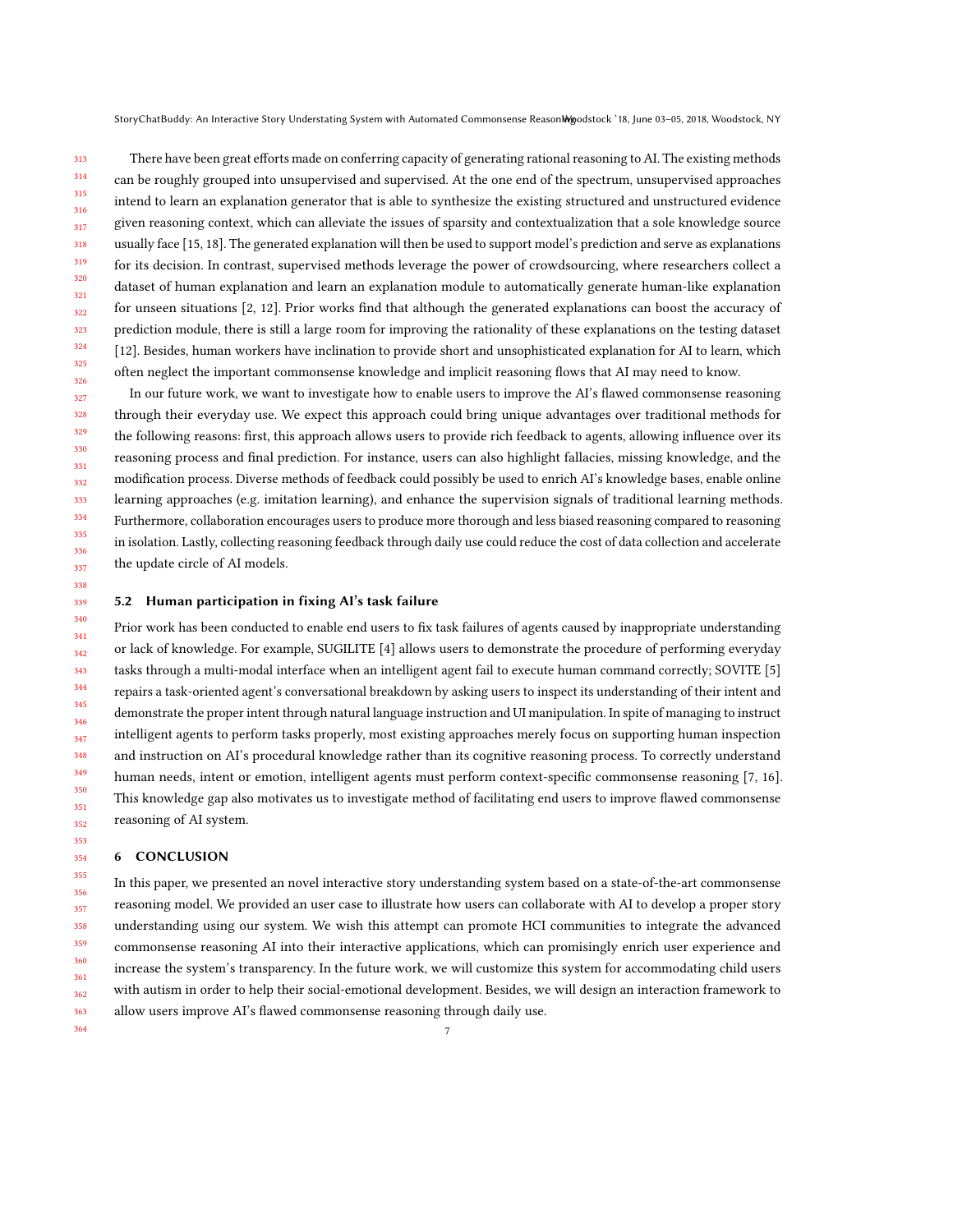StoryChatBuddy: An Interactive Story Understating System with Automated Commonsense ReasonMgodstock '18, June 03-05, 2018, Woodstock, NY

313 314 315 316 317 318 319 320 321 322 323 324 325 326 There have been great efforts made on conferring capacity of generating rational reasoning to AI. The existing methods can be roughly grouped into unsupervised and supervised. At the one end of the spectrum, unsupervised approaches intend to learn an explanation generator that is able to synthesize the existing structured and unstructured evidence given reasoning context, which can alleviate the issues of sparsity and contextualization that a sole knowledge source usually face [\[15,](#page-7-13) [18\]](#page-7-11). The generated explanation will then be used to support model's prediction and serve as explanations for its decision. In contrast, supervised methods leverage the power of crowdsourcing, where researchers collect a dataset of human explanation and learn an explanation module to automatically generate human-like explanation for unseen situations [\[2,](#page-7-14) [12\]](#page-7-12). Prior works find that although the generated explanations can boost the accuracy of prediction module, there is still a large room for improving the rationality of these explanations on the testing dataset [\[12\]](#page-7-12). Besides, human workers have inclination to provide short and unsophisticated explanation for AI to learn, which often neglect the important commonsense knowledge and implicit reasoning flows that AI may need to know.

327 328 329 330 331 332 333 334 335 336 337 In our future work, we want to investigate how to enable users to improve the AI's flawed commonsense reasoning through their everyday use. We expect this approach could bring unique advantages over traditional methods for the following reasons: first, this approach allows users to provide rich feedback to agents, allowing influence over its reasoning process and final prediction. For instance, users can also highlight fallacies, missing knowledge, and the modification process. Diverse methods of feedback could possibly be used to enrich AI's knowledge bases, enable online learning approaches (e.g. imitation learning), and enhance the supervision signals of traditional learning methods. Furthermore, collaboration encourages users to produce more thorough and less biased reasoning compared to reasoning in isolation. Lastly, collecting reasoning feedback through daily use could reduce the cost of data collection and accelerate the update circle of AI models.

#### 339 5.2 Human participation in fixing AI's task failure

340 341 342 343 344 345 346 347 348 349 350 351 352 Prior work has been conducted to enable end users to fix task failures of agents caused by inappropriate understanding or lack of knowledge. For example, SUGILITE [\[4\]](#page-7-15) allows users to demonstrate the procedure of performing everyday tasks through a multi-modal interface when an intelligent agent fail to execute human command correctly; SOVITE [\[5\]](#page-7-16) repairs a task-oriented agent's conversational breakdown by asking users to inspect its understanding of their intent and demonstrate the proper intent through natural language instruction and UI manipulation. In spite of managing to instruct intelligent agents to perform tasks properly, most existing approaches merely focus on supporting human inspection and instruction on AI's procedural knowledge rather than its cognitive reasoning process. To correctly understand human needs, intent or emotion, intelligent agents must perform context-specific commonsense reasoning [\[7,](#page-7-17) [16\]](#page-7-18). This knowledge gap also motivates us to investigate method of facilitating end users to improve flawed commonsense reasoning of AI system.

#### 6 CONCLUSION

338

353 354

364

355 356 357 358 359 360 361 362 363 In this paper, we presented an novel interactive story understanding system based on a state-of-the-art commonsense reasoning model. We provided an user case to illustrate how users can collaborate with AI to develop a proper story understanding using our system. We wish this attempt can promote HCI communities to integrate the advanced commonsense reasoning AI into their interactive applications, which can promisingly enrich user experience and increase the system's transparency. In the future work, we will customize this system for accommodating child users with autism in order to help their social-emotional development. Besides, we will design an interaction framework to allow users improve AI's flawed commonsense reasoning through daily use.